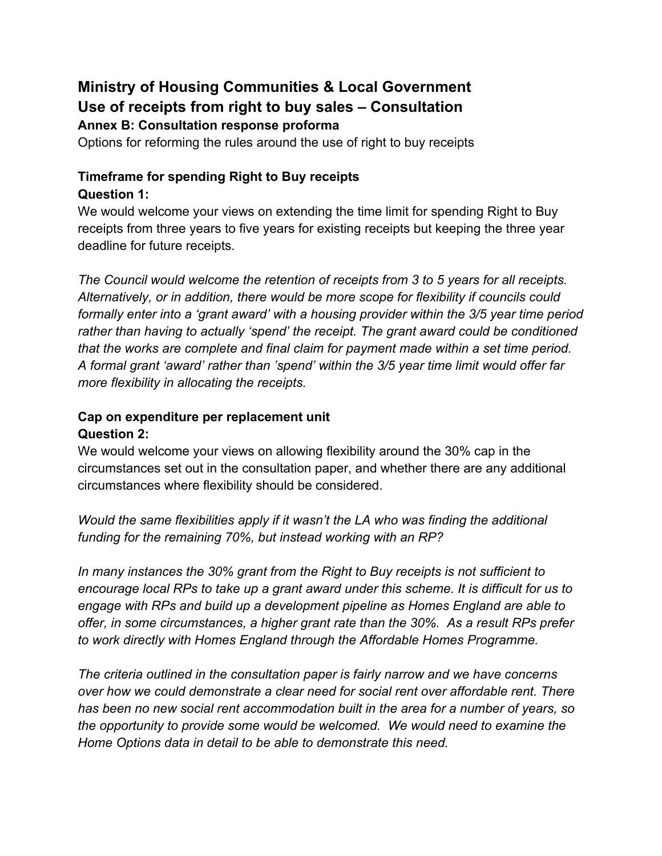# **Ministry of Housing Communities & Local Government Use of receipts from right to buy sales – Consultation Annex B: Consultation response proforma**

Options for reforming the rules around the use of right to buy receipts

#### **Timeframe for spending Right to Buy receipts Question 1:**

We would welcome your views on extending the time limit for spending Right to Buy receipts from three years to five years for existing receipts but keeping the three year deadline for future receipts.

*The Council would welcome the retention of receipts from 3 to 5 years for all receipts. Alternatively, or in addition, there would be more scope for flexibility if councils could formally enter into a 'grant award' with a housing provider within the 3/5 year time period rather than having to actually 'spend' the receipt. The grant award could be conditioned that the works are complete and final claim for payment made within a set time period. A formal grant 'award' rather than 'spend' within the 3/5 year time limit would offer far more flexibility in allocating the receipts.* 

#### **Cap on expenditure per replacement unit Question 2:**

We would welcome your views on allowing flexibility around the 30% cap in the circumstances set out in the consultation paper, and whether there are any additional circumstances where flexibility should be considered.

*Would the same flexibilities apply if it wasn't the LA who was finding the additional funding for the remaining 70%, but instead working with an RP?*

*In many instances the 30% grant from the Right to Buy receipts is not sufficient to encourage local RPs to take up a grant award under this scheme. It is difficult for us to engage with RPs and build up a development pipeline as Homes England are able to offer, in some circumstances, a higher grant rate than the 30%. As a result RPs prefer to work directly with Homes England through the Affordable Homes Programme.*

*The criteria outlined in the consultation paper is fairly narrow and we have concerns over how we could demonstrate a clear need for social rent over affordable rent. There has been no new social rent accommodation built in the area for a number of years, so the opportunity to provide some would be welcomed. We would need to examine the Home Options data in detail to be able to demonstrate this need.*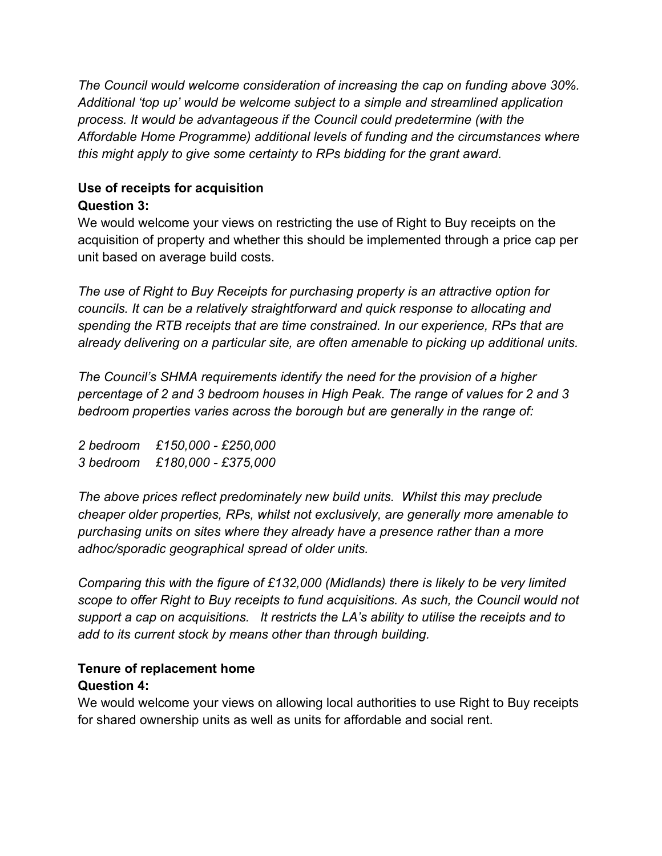*The Council would welcome consideration of increasing the cap on funding above 30%. Additional 'top up' would be welcome subject to a simple and streamlined application process. It would be advantageous if the Council could predetermine (with the Affordable Home Programme) additional levels of funding and the circumstances where this might apply to give some certainty to RPs bidding for the grant award.* 

## **Use of receipts for acquisition Question 3:**

We would welcome your views on restricting the use of Right to Buy receipts on the acquisition of property and whether this should be implemented through a price cap per unit based on average build costs.

*The use of Right to Buy Receipts for purchasing property is an attractive option for councils. It can be a relatively straightforward and quick response to allocating and spending the RTB receipts that are time constrained. In our experience, RPs that are already delivering on a particular site, are often amenable to picking up additional units.*

*The Council's SHMA requirements identify the need for the provision of a higher percentage of 2 and 3 bedroom houses in High Peak. The range of values for 2 and 3 bedroom properties varies across the borough but are generally in the range of:*

*2 bedroom £150,000 - £250,000 3 bedroom £180,000 - £375,000*

*The above prices reflect predominately new build units. Whilst this may preclude cheaper older properties, RPs, whilst not exclusively, are generally more amenable to purchasing units on sites where they already have a presence rather than a more adhoc/sporadic geographical spread of older units.* 

*Comparing this with the figure of £132,000 (Midlands) there is likely to be very limited scope to offer Right to Buy receipts to fund acquisitions. As such, the Council would not support a cap on acquisitions. It restricts the LA's ability to utilise the receipts and to add to its current stock by means other than through building.* 

# **Tenure of replacement home**

# **Question 4:**

We would welcome your views on allowing local authorities to use Right to Buy receipts for shared ownership units as well as units for affordable and social rent.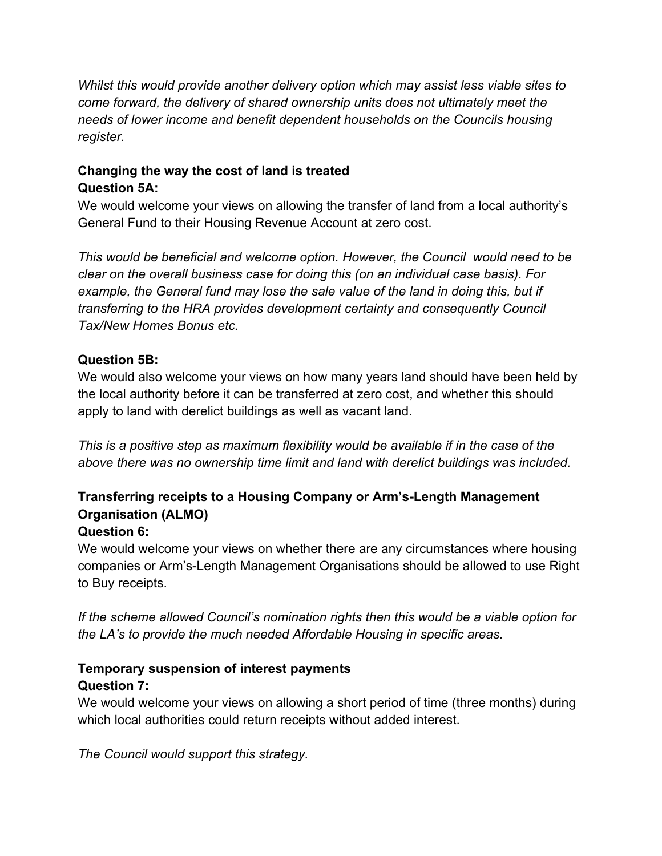*Whilst this would provide another delivery option which may assist less viable sites to come forward, the delivery of shared ownership units does not ultimately meet the needs of lower income and benefit dependent households on the Councils housing register.* 

# **Changing the way the cost of land is treated Question 5A:**

We would welcome your views on allowing the transfer of land from a local authority's General Fund to their Housing Revenue Account at zero cost.

*This would be beneficial and welcome option. However, the Council would need to be clear on the overall business case for doing this (on an individual case basis). For example, the General fund may lose the sale value of the land in doing this, but if transferring to the HRA provides development certainty and consequently Council Tax/New Homes Bonus etc.* 

## **Question 5B:**

We would also welcome your views on how many years land should have been held by the local authority before it can be transferred at zero cost, and whether this should apply to land with derelict buildings as well as vacant land.

*This is a positive step as maximum flexibility would be available if in the case of the above there was no ownership time limit and land with derelict buildings was included.*

# **Transferring receipts to a Housing Company or Arm's-Length Management Organisation (ALMO)**

# **Question 6:**

We would welcome your views on whether there are any circumstances where housing companies or Arm's-Length Management Organisations should be allowed to use Right to Buy receipts.

*If the scheme allowed Council's nomination rights then this would be a viable option for the LA's to provide the much needed Affordable Housing in specific areas.*

#### **Temporary suspension of interest payments Question 7:**

We would welcome your views on allowing a short period of time (three months) during which local authorities could return receipts without added interest.

*The Council would support this strategy.*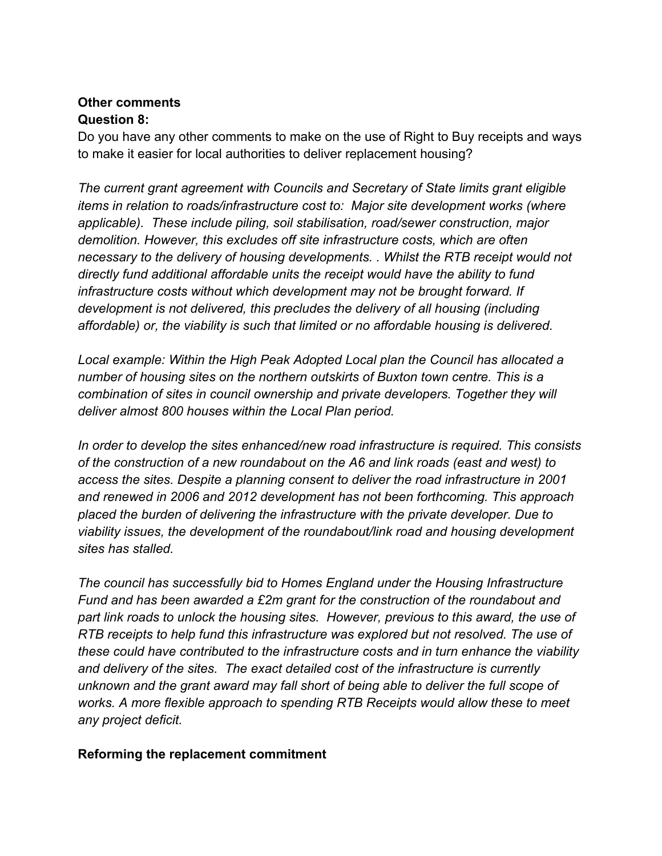#### **Other comments Question 8:**

Do you have any other comments to make on the use of Right to Buy receipts and ways to make it easier for local authorities to deliver replacement housing?

*The current grant agreement with Councils and Secretary of State limits grant eligible items in relation to roads/infrastructure cost to: Major site development works (where applicable). These include piling, soil stabilisation, road/sewer construction, major demolition. However, this excludes off site infrastructure costs, which are often necessary to the delivery of housing developments. . Whilst the RTB receipt would not directly fund additional affordable units the receipt would have the ability to fund infrastructure costs without which development may not be brought forward. If development is not delivered, this precludes the delivery of all housing (including affordable) or, the viability is such that limited or no affordable housing is delivered.*

*Local example: Within the High Peak Adopted Local plan the Council has allocated a number of housing sites on the northern outskirts of Buxton town centre. This is a combination of sites in council ownership and private developers. Together they will deliver almost 800 houses within the Local Plan period.*

*In order to develop the sites enhanced/new road infrastructure is required. This consists of the construction of a new roundabout on the A6 and link roads (east and west) to access the sites. Despite a planning consent to deliver the road infrastructure in 2001 and renewed in 2006 and 2012 development has not been forthcoming. This approach placed the burden of delivering the infrastructure with the private developer. Due to viability issues, the development of the roundabout/link road and housing development sites has stalled.*

*The council has successfully bid to Homes England under the Housing Infrastructure Fund and has been awarded a £2m grant for the construction of the roundabout and part link roads to unlock the housing sites. However, previous to this award, the use of RTB receipts to help fund this infrastructure was explored but not resolved. The use of these could have contributed to the infrastructure costs and in turn enhance the viability and delivery of the sites. The exact detailed cost of the infrastructure is currently unknown and the grant award may fall short of being able to deliver the full scope of works. A more flexible approach to spending RTB Receipts would allow these to meet any project deficit.*

#### **Reforming the replacement commitment**